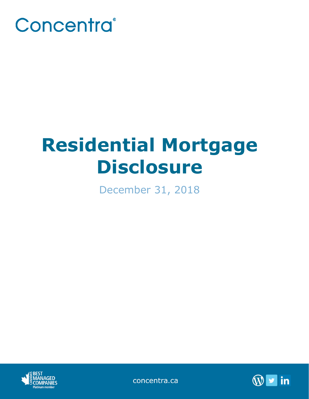

# **Residential Mortgage Disclosure**

December 31, 2018



concentra.ca

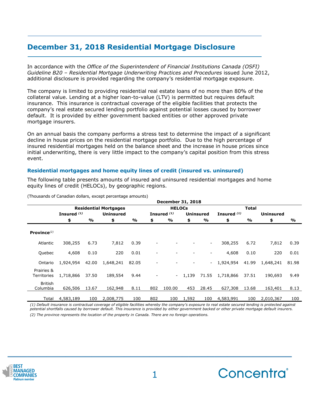# **December 31, 2018 Residential Mortgage Disclosure**

In accordance with the *Office of the Superintendent of Financial Institutions Canada (OSFI) Guideline B20 – Residential Mortgage Underwriting Practices and Procedures* issued June 2012, additional disclosure is provided regarding the company's residential mortgage exposure.

The company is limited to providing residential real estate loans of no more than 80% of the collateral value. Lending at a higher loan-to-value (LTV) is permitted but requires default insurance. This insurance is contractual coverage of the eligible facilities that protects the company's real estate secured lending portfolio against potential losses caused by borrower default. It is provided by either government backed entities or other approved private mortgage insurers.

On an annual basis the company performs a stress test to determine the impact of a significant decline in house prices on the residential mortgage portfolio. Due to the high percentage of insured residential mortgages held on the balance sheet and the increase in house prices since initial underwriting, there is very little impact to the company's capital position from this stress event.

## **Residential mortgages and home equity lines of credit (insured vs. uninsured)**

The following table presents amounts of insured and uninsured residential mortgages and home equity lines of credit (HELOCs), by geographic regions.

|                            |                        |       |                              |       |     | <b>December 31, 2018</b> |       |                  |               |               |                  |       |
|----------------------------|------------------------|-------|------------------------------|-------|-----|--------------------------|-------|------------------|---------------|---------------|------------------|-------|
|                            |                        |       | <b>Residential Mortgages</b> |       |     | <b>HELOCs</b>            |       |                  |               | <b>Total</b>  |                  |       |
|                            | Insured <sup>(1)</sup> |       | <b>Uninsured</b>             |       |     | Insured <sup>(1)</sup>   |       | <b>Uninsured</b> | Insured $(1)$ |               | <b>Uninsured</b> |       |
|                            | \$                     | %     | \$                           | %     | \$  | %                        | \$    | %                | \$            | $\frac{9}{6}$ | \$               | %     |
| Province $^{(2)}$          |                        |       |                              |       |     |                          |       |                  |               |               |                  |       |
| Atlantic                   | 308,255                | 6.73  | 7,812                        | 0.39  |     |                          |       | ۰.               | 308,255       | 6.72          | 7,812            | 0.39  |
| Quebec                     | 4,608                  | 0.10  | 220                          | 0.01  |     |                          |       |                  | 4,608         | 0.10          | 220              | 0.01  |
| Ontario                    | 1,924,954              | 42.00 | 1,648,241                    | 82.05 |     |                          |       |                  | 1,924,954     | 41.99         | 1,648,241        | 81.98 |
| Prairies &<br>Territories  | 1,718,866              | 37.50 | 189,554                      | 9.44  |     | $\overline{\phantom{a}}$ | 1,139 | 71.55            | 1,718,866     | 37.51         | 190,693          | 9.49  |
| <b>British</b><br>Columbia | 626,506                | 13.67 | 162,948                      | 8.11  | 802 | 100.00                   | 453   | 28.45            | 627,308       | 13.68         | 163,401          | 8.13  |
| Total                      | 4,583,189              | 100   | 2,008,775                    | 100   | 802 | 100                      | 1,592 | 100              | 4,583,991     | 100           | 2,010,367        | 100   |

(Thousands of Canadian dollars, except percentage amounts)

*(1) Default insurance is contractual coverage of eligible facilities whereby the company's exposure to real estate secured lending is protected against potential shortfalls caused by borrower default. This insurance is provided by either government backed or other private mortgage default insurers. (2) The province represents the location of the property in Canada. There are no foreign operations.*



**\_\_\_\_\_\_\_\_\_\_\_\_\_\_\_\_\_\_\_\_\_\_\_\_\_\_\_\_\_\_\_\_\_\_\_\_\_\_\_\_\_\_\_\_**